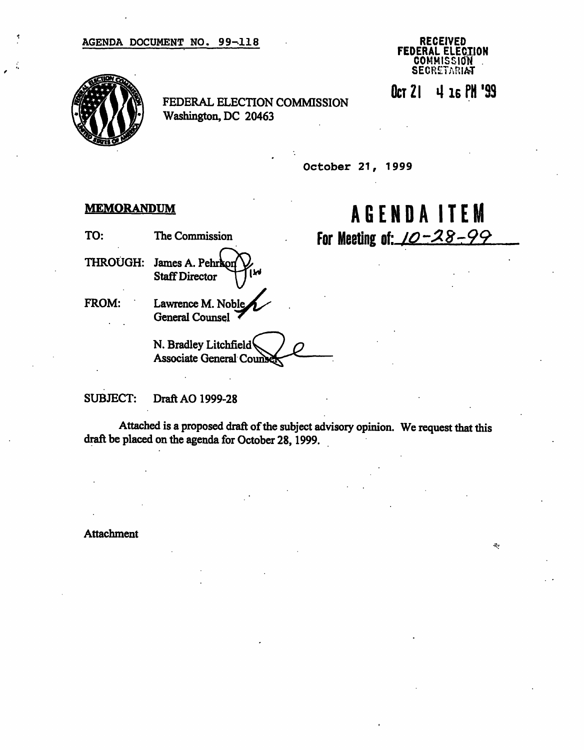

Oct 21 4 16 PH '99

 $\sigma_{\rm eff}$ 

AGENDAITE M

For Meeting of: <u>10-28-99</u>

FEDERAL ELECTION COMMISSION Washington, DC 20463

October 21, 1999

## **MEMORANDUM**

TO: The Commission

THROUGH: James A. Pehrkon **Staff Director** 

FROM: Lawrence M. General Counsel

N. Bradley Litchfield Associate General Co

SUBJECT: Draft AO 1999-28

Attached is a proposed draft of the subject advisory opinion. We request that this draft be placed on the agenda for October 28, 1999.

Attachment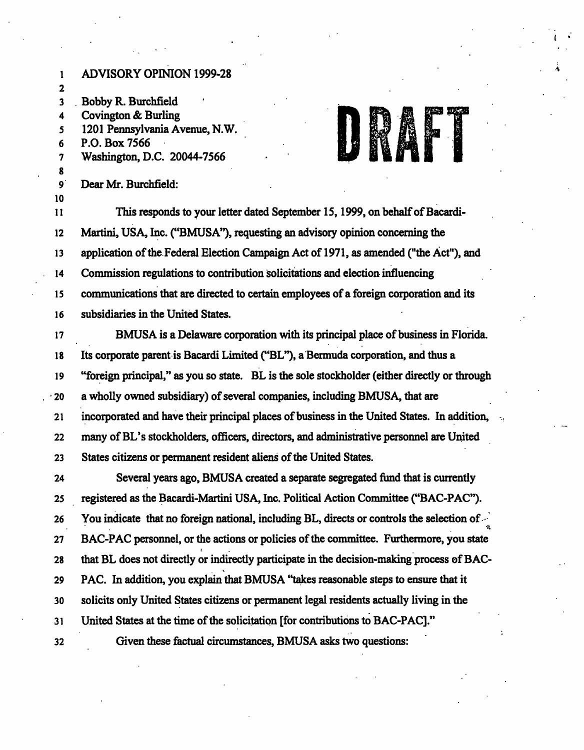1 ADVISORY OPINION 1999-28 2 3 Bobby R. Burchfield 4 Covington & Burling 5 1201 Pennsylvania Avenue, N.W. 6 P.O. Box 7566 7 Washington, D.C. 20044-7566 8 9 Dear Mr. Burchfield: 10 11 This responds to your letter dated September 15,1999, on behalf of Bacardi-12 Martini, USA, Inc. ("BMUSA"), requesting an advisory opinion concerning the 13 application of the Federal Election Campaign Act of 1971, as amended ("the Act"), and 14 Commission regulations to contribution solicitations and election influencing 15 communications that are directed to certain employees of a foreign corporation and its 16 subsidiaries in the United States. 17 BMUSA is a Delaware corporation with its principal place of business in Florida. 18 Its corporate parent is Bacardi Limited ("BL"), a Bermuda corporation, and thus a 19 "foreign principal," as you so state. BL is the sole stockholder (either directly or through 20 a wholly owned subsidiary) of several companies, including BMUSA, that are 21 incorporated and have their principal places of business in the United States. In addition, 22 many of BL's stockholders, officers, directors, and administrative personnel are United 23 States citizens or permanent resident aliens of the United States. 24 Several years ago, BMUSA created a separate segregated fund that is currently 25 registered as the Bacardi-Martini USA, Inc. Political Action Committee ("BAC-PAC"). 26 You indicate that no foreign national, including BL, directs or controls the selection of "•\* 27 BAC-PAC personnel, or the actions or policies of the committee. Furthermore, you state 28 that BL does not directly or indirectly participate in the decision-making process of BAC-29 PAC. In addition, you explain that BMUSA 'takes reasonable steps to ensure that it 30 solicits only United States citizens or permanent legal residents actually living in the 31 United States at the time of the solicitation [for contributions to BAC-PAC]." 32 Given these factual circumstances, BMUSA asks two questions: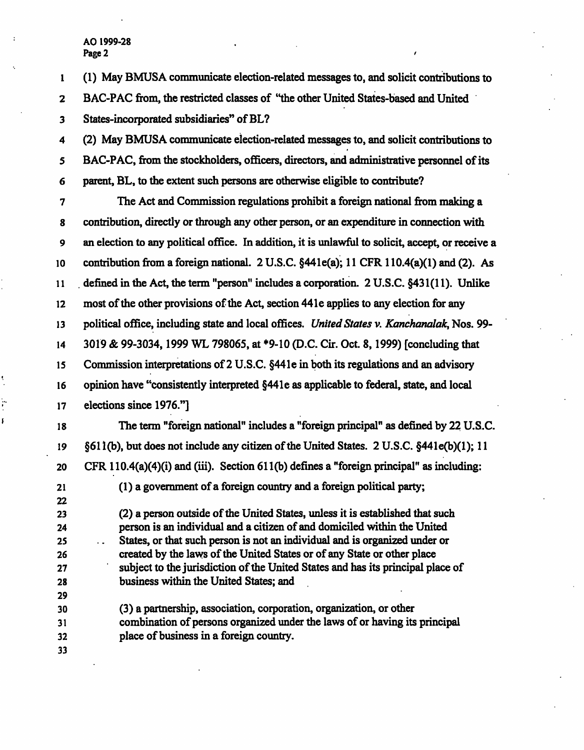AO 1999-28 Page 2 and the set of the set of the set of the set of the set of the set of the set of the set of the set of the set of the set of the set of the set of the set of the set of the set of the set of the set of the set of th

 $\vdots$ ŗ

1 (1) May BMUSA communicate election-related messages to, and solicit contributions to 2 BAC-PAC from, the restricted classes of "the other United States-based and United 3 States-incorporated subsidiaries" of BL? 4 (2) May BMUSA communicate election-related messages to, and solicit contributions to 5 BAC-PAC, from the stockholders, officers, directors, and administrative personnel of its 6 parent, BL, to the extent such persons are otherwise eligible to contribute? 7 The Act and Commission regulations prohibit a foreign national from making a 8 contribution, directly or through any other person, or an expenditure in connection with 9 an election to any political office. In addition, it is unlawful to solicit, accept, or receive a 10 contribution from a foreign national. 2 U.S.C. §441e(a); 11 CFR110.4(a)(l) and (2). As 11 defined in the Act, the term "person" includes a corporation. 2 U.S.C. §431(11). Unlike 12 most of the other provisions of the Act, section 44 le applies to any election for any 13 political office, including state and local offices. United States v. Kanchanalak, Nos. 99-14 3019 & 99-3034,1999 WL 798065, at \*9-10 (D.C. Cir. Oct. 8,1999) [concluding that 15 Commission interpretations of 2 U.S.C. §441e in both its regulations and an advisory 16 opinion have "consistently interpreted §44le as applicable to federal, state, and local 17 elections since 1976."] 18 The term "foreign national" includes a "foreign principal" as defined by 22 U.S.C. 19 §61 l(b), but does not include any citizen of the United States. 2 U.S.C. §441e(b)(l); 11 20 CFR 110.4(a)(4)(i) and (iii). Section 61 l(b) defines a "foreign principal" as including: 21 (1) a government of a foreign country and a foreign political party; 22 23 (2) a person outside of the United States, unless it is established that such 24 person is an individual and a citizen of and domiciled within the United 25 . States, or that such person is not an individual and is organized under or 26 created by the laws of the United States or of any State or other place 27 subject to the jurisdiction of the United States and has its principal place of 28 business within the United States; and 29 30 (3) a partnership, association, corporation, organization, or other 31 combination of persons organized under the laws of or having its principal 32 place of business in a foreign country. 33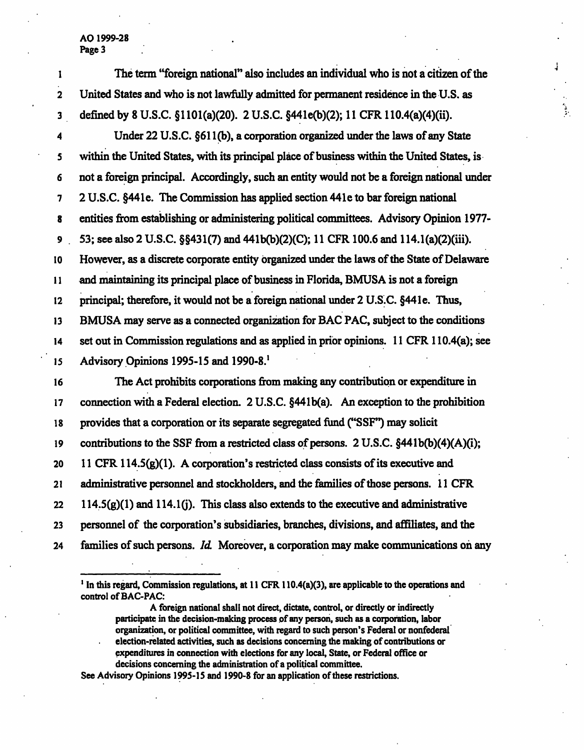AO 1999-28 Page 3

| 1                       | The term "foreign national" also includes an individual who is not a citizen of the         |
|-------------------------|---------------------------------------------------------------------------------------------|
| $\mathbf 2$             | United States and who is not lawfully admitted for permanent residence in the U.S. as       |
| 3                       | defined by 8 U.S.C. §1101(a)(20). 2 U.S.C. §441e(b)(2); 11 CFR 110.4(a)(4)(ii).             |
| $\overline{\mathbf{4}}$ | Under 22 U.S.C. §611(b), a corporation organized under the laws of any State                |
| 5                       | within the United States, with its principal place of business within the United States, is |
| 6                       | not a foreign principal. Accordingly, such an entity would not be a foreign national under  |
| 7                       | 2 U.S.C. §441e. The Commission has applied section 441e to bar foreign national             |
| 8                       | entities from establishing or administering political committees. Advisory Opinion 1977-    |
| 9                       | 53; see also 2 U.S.C. §§431(7) and 441b(b)(2)(C); 11 CFR 100.6 and 114.1(a)(2)(iii).        |
| 10                      | However, as a discrete corporate entity organized under the laws of the State of Delaware   |
| $\mathbf{11}$           | and maintaining its principal place of business in Florida, BMUSA is not a foreign          |
| 12                      | principal; therefore, it would not be a foreign national under 2 U.S.C. §441e. Thus,        |
| 13                      | BMUSA may serve as a connected organization for BAC PAC, subject to the conditions          |
| 14                      | set out in Commission regulations and as applied in prior opinions. 11 CFR 110.4(a); see    |
| 15                      | Advisory Opinions 1995-15 and 1990-8.                                                       |
| 16                      | The Act prohibits corporations from making any contribution or expenditure in               |
| 17                      | connection with a Federal election. 2 U.S.C. §441b(a). An exception to the prohibition      |
| 18                      | provides that a corporation or its separate segregated fund ("SSF") may solicit             |
| 19                      | contributions to the SSF from a restricted class of persons. 2 U.S.C. §441b(b)(4)(A)(i);    |
| 20                      | 11 CFR 114.5 $(g)(1)$ . A corporation's restricted class consists of its executive and      |
| 21                      | administrative personnel and stockholders, and the families of those persons. 11 CFR        |
| 22                      | $114.5(g)(1)$ and $114.1(j)$ . This class also extends to the executive and administrative  |
| 23                      | personnel of the corporation's subsidiaries, branches, divisions, and affiliates, and the   |
| 24                      | families of such persons. Id. Moreover, a corporation may make communications on any        |
|                         |                                                                                             |

<sup>1</sup> In this regard, Commission regulations, at 11 CFR 110.4(a)(3), are applicable to the operations and control of BAC-PAC:

A foreign national shall not direct, dictate, control, or directly or indirectly participate in the decision-making process of any person, such as a corporation, labor organization, or political committee, with regard to such person's Federal or nonfederal election-related activities, such as decisions concerning the making of contributions or expenditures in connection with elections for any local, State, or Federal office or decisions concerning the administration of a political committee.

See Advisory Opinions 1995-15 and 1990-8 for an application of these restrictions.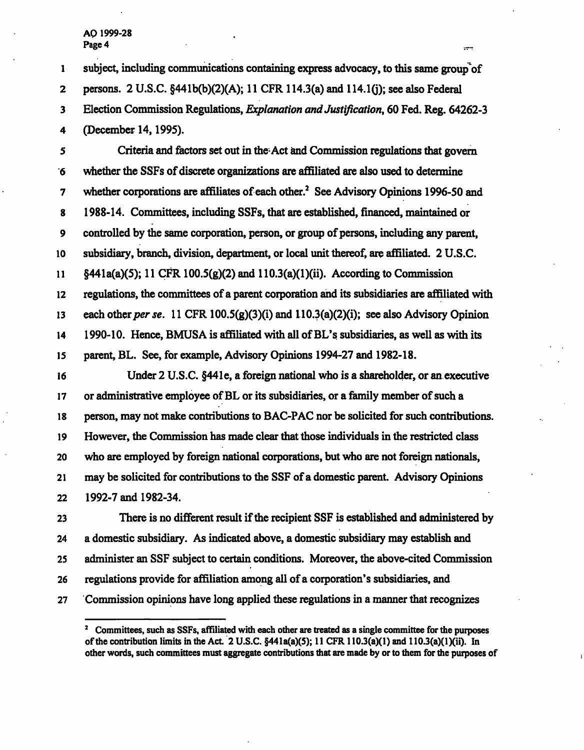## AQ 1999-28 Page 4

1 subject, including communications containing express advocacy, to this same group'of 2 persons. 2 U.S.C. §441b(b)(2)(A); 11 CFR 114.3(a) and 114.10); see also Federal 3 Election Commission Regulations, *Explanation and Justification*, 60 Fed. Reg. 64262-3 4 (December 14,1995). 5 Criteria and factors set out in the-Act and Commission regulations that govern

**STAR** 

6 whether the SSFs of discrete organizations are affiliated are also used to determine 7 whether corporations are affiliates of each other.<sup>2</sup> See Advisory Opinions 1996-50 and 8 1988-14. Committees, including SSFs, that are established, financed, maintained or 9 controlled by the same corporation, person, or group of persons, including any parent, 10 subsidiary, branch, division, department, or local unit thereof, are affiliated. 2 U.S.C. 11 §441a(a)(5); 11 CFR 100.5(g)(2) and 110.3(a)(l)(ii). According to Commission 12 regulations, the committees of a parent corporation and its subsidiaries are affiliated with 13 each other per se. 11 CFR 100.5(g)(3)(i) and 110.3(a)(2)(i); see also Advisory Opinion 14 1990-10. Hence, BMUSA is affiliated with all of BL's subsidiaries, as well as with its 15 parent, BL. See, for example, Advisory Opinions 1994-27 and 1982-18.

16 Under 2 U.S.C. §44le, a foreign national who is a shareholder, or an executive 17 or administrative employee of BL or its subsidiaries, or a family member of such a 18 person, may not make contributions to BAC-PAC nor be solicited for such contributions. 19 However, the Commission has made clear that those individuals in the restricted class 20 who are employed by foreign national corporations, but who are not foreign nationals, 21 may be solicited for contributions to the SSF of a domestic parent. Advisory Opinions 22 1992-7 and 1982-34.

23 There is no different result if the recipient SSF is established and administered by 24 a domestic subsidiary. As indicated above, a domestic subsidiary may establish and 25 administer an SSF subject to certain conditions. Moreover, the above-cited Commission 26 regulations provide for affiliation among all of a corporation's subsidiaries, and 27 Commission opinions have long applied these regulations in a manner that recognizes

<sup>&</sup>lt;sup>2</sup> Committees, such as SSFs, affiliated with each other are treated as a single committee for the purposes of the contribution limits in the Act. 2 U.S.C.  $\S 441a(a)(5)$ ; 11 CFR 110.3(a)(1) and 110.3(a)(1)(ii). In other words, such committees must aggregate contributions that are made by or to them for the purposes of